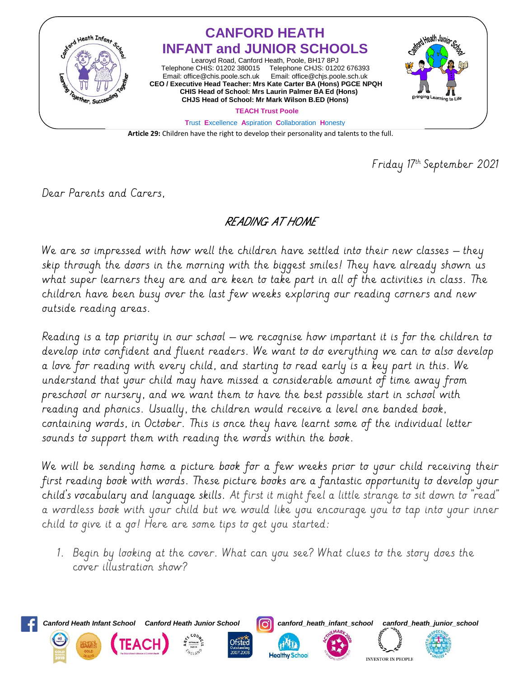

Friday 17th September 2021

Dear Parents and Carers,

## READING AT HOME

We are so impressed with how well the children have settled into their new classes – they skip through the doors in the morning with the biggest smiles! They have already shown us what super learners they are and are keen to take part in all of the activities in class. The children have been busy over the last few weeks exploring our reading corners and new outside reading areas.

Reading is a top priority in our school – we recognise how important it is for the children to develop into confident and fluent readers. We want to do everything we can to also develop a love for reading with every child, and starting to read early is a key part in this. We understand that your child may have missed a considerable amount of time away from preschool or nursery, and we want them to have the best possible start in school with reading and phonics. Usually, the children would receive a level one banded book, containing words, in October. This is once they have learnt some of the individual letter sounds to support them with reading the words within the book.

We will be sending home a picture book for a few weeks prior to your child receiving their first reading book with words. These picture books are a fantastic opportunity to develop your child's vocabulary and language skills. At first it might feel a little strange to sit down to "read" a wordless book with your child but we would like you encourage you to tap into your inner child to give it a go! Here are some tips to get you started:

1. Begin by looking at the cover. What can you see? What clues to the story does the cover illustration show?